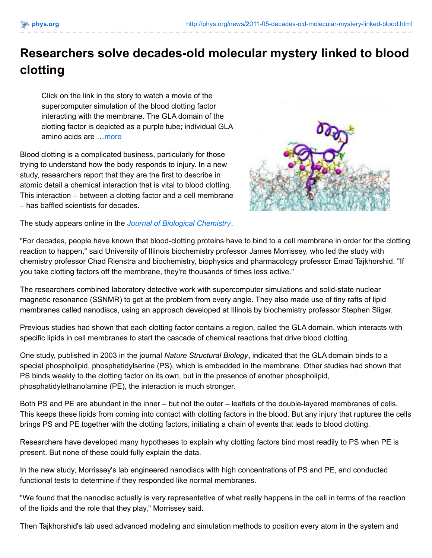## **Researchers solve decades-old molecular mystery linked to blood clotting**

Click on the link in the story to watch a movie of the supercomputer simulation of the blood clotting factor interacting with the membrane. The GLA domain of the clotting factor is depicted as a purple tube; individual GLA amino acids are […more](http://phys.org/news/2011-05-decades-old-molecular-mystery-linked-blood.html)

Blood clotting is a complicated business, particularly for those trying to understand how the body responds to injury. In a new study, researchers report that they are the first to describe in atomic detail a chemical interaction that is vital to blood clotting. This interaction – between a clotting factor and a cell membrane – has baffled scientists for decades.



The study appears online in the *Journal of Biological [Chemistry](http://phys.org/tags/journal+of+biological+chemistry/)*.

"For decades, people have known that blood-clotting proteins have to bind to a cell membrane in order for the clotting reaction to happen," said University of Illinois biochemistry professor James Morrissey, who led the study with chemistry professor Chad Rienstra and biochemistry, biophysics and pharmacology professor Emad Tajkhorshid. "If you take clotting factors off the membrane, they're thousands of times less active."

The researchers combined laboratory detective work with supercomputer simulations and solid-state nuclear magnetic resonance (SSNMR) to get at the problem from every angle. They also made use of tiny rafts of lipid membranes called nanodiscs, using an approach developed at Illinois by biochemistry professor Stephen Sligar.

Previous studies had shown that each clotting factor contains a region, called the GLA domain, which interacts with specific lipids in cell membranes to start the cascade of chemical reactions that drive blood clotting.

One study, published in 2003 in the journal *Nature Structural Biology*, indicated that the GLA domain binds to a special phospholipid, phosphatidylserine (PS), which is embedded in the membrane. Other studies had shown that PS binds weakly to the clotting factor on its own, but in the presence of another phospholipid, phosphatidylethanolamine (PE), the interaction is much stronger.

Both PS and PE are abundant in the inner – but not the outer – leaflets of the double-layered membranes of cells. This keeps these lipids from coming into contact with clotting factors in the blood. But any injury that ruptures the cells brings PS and PE together with the clotting factors, initiating a chain of events that leads to blood clotting.

Researchers have developed many hypotheses to explain why clotting factors bind most readily to PS when PE is present. But none of these could fully explain the data.

In the new study, Morrissey's lab engineered nanodiscs with high concentrations of PS and PE, and conducted functional tests to determine if they responded like normal membranes.

"We found that the nanodisc actually is very representative of what really happens in the cell in terms of the reaction of the lipids and the role that they play," Morrissey said.

Then Tajkhorshid's lab used advanced modeling and simulation methods to position every atom in the system and